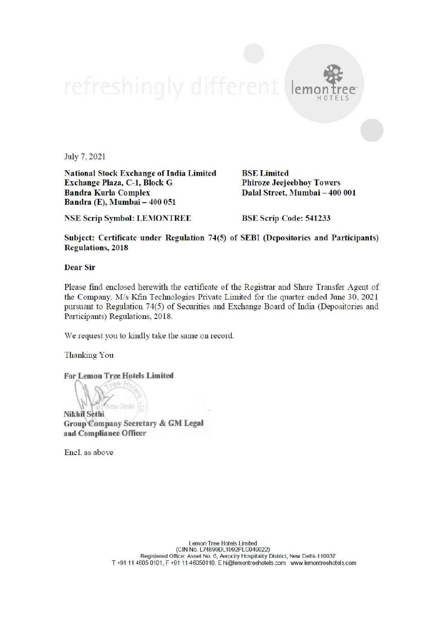## lem HOTELS

July 7, 2021

National Stock Exchange of India Limited BSE Limited Exchange Plaza, C-1, Block G Phiroze Jeejeebhoy Towers Bandra Kurla Complex Dalal Street, Mumbai - 400 001 Bandra (E), Mumbai — 400 051

NSE Scrip Symbol: LEMONTREE BSE Scrip Code: 541233

Subject: Certificate under Regulation 74(5) of SEBI (Depositories and Participants) Regulations, 2018

Dear Sir

Please find enclosed herewith the certificate of the Registrar and Share Transfer Agent of the Company, M/s Kfin Technologies Private Limited for the quarter ended June 30, 2021 pursuant to Regulation 74(5) of Securities and Exchange Board of India (Depositories and Participants) Regulations, 2018

We request you to kindly take the same on record.

Thanking You

For Lemon Tree Hotels Limited

Nikhil Sethi

Group Company Secretary & GM Legal and Compliance Officer

Encl. as above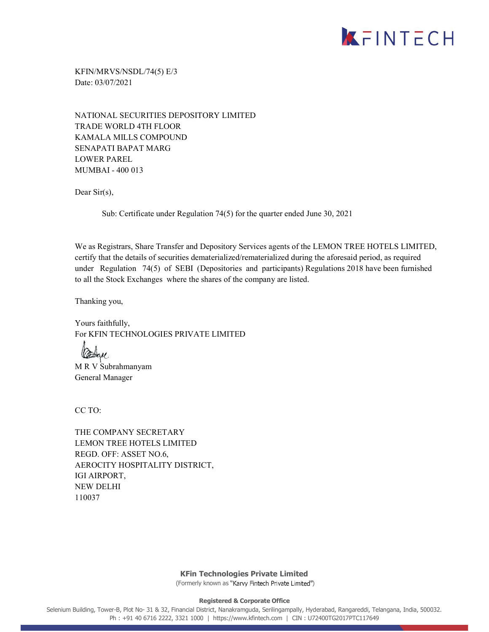

KFIN/MRVS/NSDL/74(5) E/3 Date: 03/07/2021

NATIONAL SECURITIES DEPOSITORY LIMITED TRADE WORLD 4TH FLOOR KAMALA MILLS COMPOUND SENAPATI BAPAT MARG LOWER PAREL MUMBAI - 400 013

Dear Sir(s),

Sub: Certificate under Regulation 74(5) for the quarter ended June 30, 2021

We as Registrars, Share Transfer and Depository Services agents of the LEMON TREE HOTELS LIMITED, certify that the details of securities dematerialized/rematerialized during the aforesaid period, as required under Regulation 74(5) of SEBI (Depositories and participants) Regulations 2018 have been furnished to all the Stock Exchanges where the shares of the company are listed.

Thanking you,

Yours faithfully, For KFIN TECHNOLOGIES PRIVATE LIMITED

assau M R V Subrahmanyam General Manager

CC TO:

THE COMPANY SECRETARY LEMON TREE HOTELS LIMITED REGD. OFF: ASSET NO.6, AEROCITY HOSPITALITY DISTRICT, IGI AIRPORT, NEW DELHI 110037

> **KFin Technologies Private Limited** (Formerly known as "Karvy Fintech Private Limited")

> > **Registered & Corporate Office**

Selenium Building, Tower-B, Plot No- 31 & 32, Financial District, Nanakramguda, Serilingampally, Hyderabad, Rangareddi, Telangana, India, 500032. Ph : +91 40 6716 2222, 3321 1000 | https://www.kfintech.com | CIN : U72400TG2017PTC117649